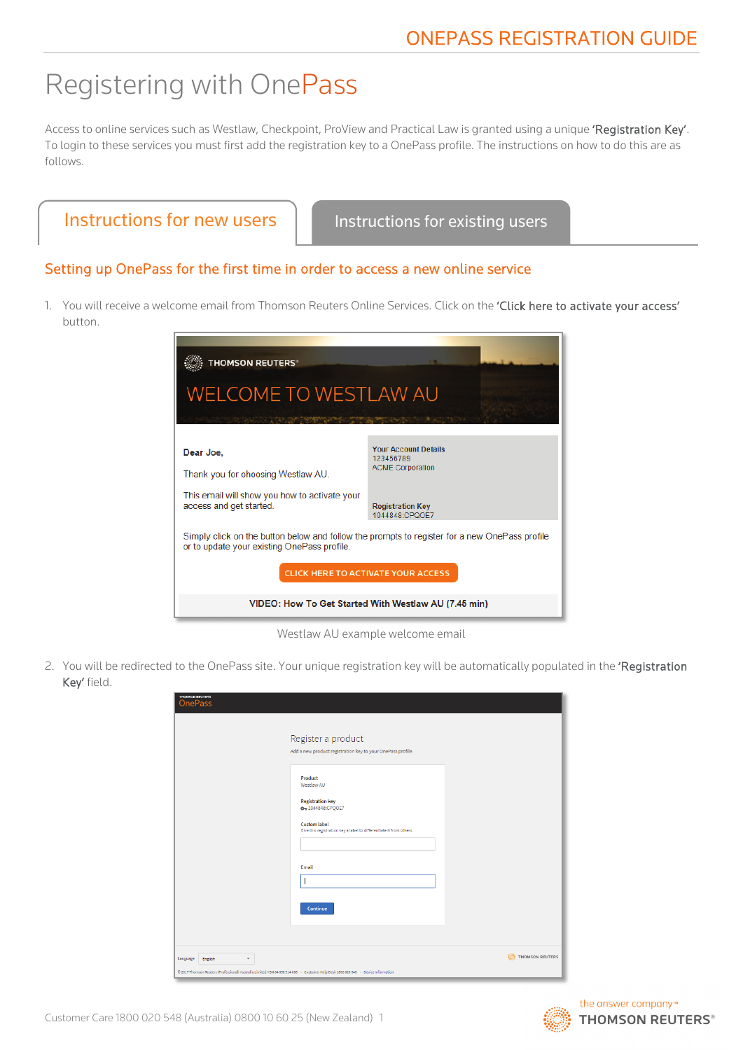# Registering with OnePass

Access to online services such as Westlaw, Checkpoint, ProView and Practical Law is granted using a unique 'Registration Key'. To login to these services you must first add the registration key to a OnePass profile. The instructions on how to do this are as follows.

| Instructions for new users | <b>Inst</b> |
|----------------------------|-------------|
|                            |             |

ructions for existing users

#### Setting up OnePass for the first time in order to access a new online service

1. You will receive a welcome email from Thomson Reuters Online Services. Click on the 'Click here to activate your access' button.



Westlaw AU example welcome email

2. You will be redirected to the OnePass site. Your unique registration key will be automatically populated in the 'Registration Key' field.

| THOMSON REUTERS<br><b>OnePass</b>                                                                                                                                                    | Register a product<br>Add a new product registration key to your OnePass profile.                                                                                  |                 |
|--------------------------------------------------------------------------------------------------------------------------------------------------------------------------------------|--------------------------------------------------------------------------------------------------------------------------------------------------------------------|-----------------|
|                                                                                                                                                                                      | Product<br>Westlaw AU<br><b>Registration key</b><br>0-1044848:CPQOE7<br><b>Custom label</b><br>Give this registration key a label to differentiate it from others. |                 |
|                                                                                                                                                                                      | Email<br>Continue                                                                                                                                                  |                 |
| Language<br>English<br>$\overline{\phantom{a}}$<br>@ 2017 Thomson Reuters (Professional) Australia Limited ABN 64 058 914 668 - Customer Help Desk 1800 020 548 - Device Information |                                                                                                                                                                    | THOMSON REUTERS |

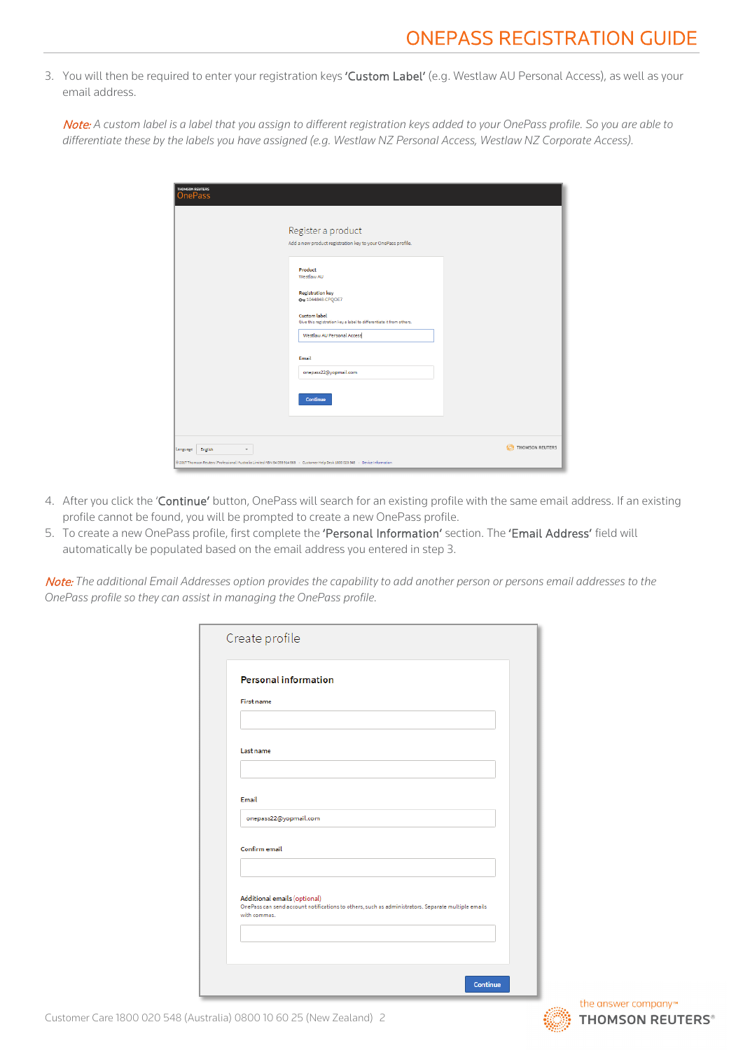## ONEPASS REGISTRATION GUIDE

3. You will then be required to enter your registration keys 'Custom Label' (e.g. Westlaw AU Personal Access), as well as your email address.

Note: *A custom label is a label that you assign to different registration keys added to your OnePass profile. So you are able to differentiate these by the labels you have assigned (e.g. Westlaw NZ Personal Access, Westlaw NZ Corporate Access).*

| THOMSON REUTERS<br><b>OnePass</b>                                                                                                                                                    |                                                                                                                                               |                 |
|--------------------------------------------------------------------------------------------------------------------------------------------------------------------------------------|-----------------------------------------------------------------------------------------------------------------------------------------------|-----------------|
|                                                                                                                                                                                      | Register a product<br>Add a new product registration key to your OnePass profile.                                                             |                 |
|                                                                                                                                                                                      | Product<br>Westlaw AU<br><b>Registration key</b>                                                                                              |                 |
|                                                                                                                                                                                      | Ow 1044848:CPQOE7<br><b>Custom label</b><br>Give this registration key a label to differentiate it from others.<br>Westlaw AU Personal Access |                 |
|                                                                                                                                                                                      | Email<br>onepass22@yopmail.com                                                                                                                |                 |
|                                                                                                                                                                                      | Continue                                                                                                                                      |                 |
| Language<br>English<br>$\overline{\phantom{a}}$<br>3 2017 Thomson Reuters (Professional) Australia Limited ABN 64 058 914 668 - Customer Help Desk 1800 020 548 - Device Information |                                                                                                                                               | THOMSON REUTERS |

- 4. After you click the 'Continue' button, OnePass will search for an existing profile with the same email address. If an existing profile cannot be found, you will be prompted to create a new OnePass profile.
- 5. To create a new OnePass profile, first complete the 'Personal Information' section. The 'Email Address' field will automatically be populated based on the email address you entered in step 3.

Note: *The additional Email Addresses option provides the capability to add another person or persons email addresses to the OnePass profile so they can assist in managing the OnePass profile.*

|                   | <b>Personal information</b>                                                                                                        |
|-------------------|------------------------------------------------------------------------------------------------------------------------------------|
| <b>First name</b> |                                                                                                                                    |
|                   |                                                                                                                                    |
| Last name         |                                                                                                                                    |
|                   |                                                                                                                                    |
| Email             |                                                                                                                                    |
|                   | onepass22@yopmail.com                                                                                                              |
| Confirm email     |                                                                                                                                    |
|                   | Additional emails (optional)<br>OnePass can send account notifications to others, such as administrators. Separate multiple emails |
| with commas.      |                                                                                                                                    |
|                   |                                                                                                                                    |

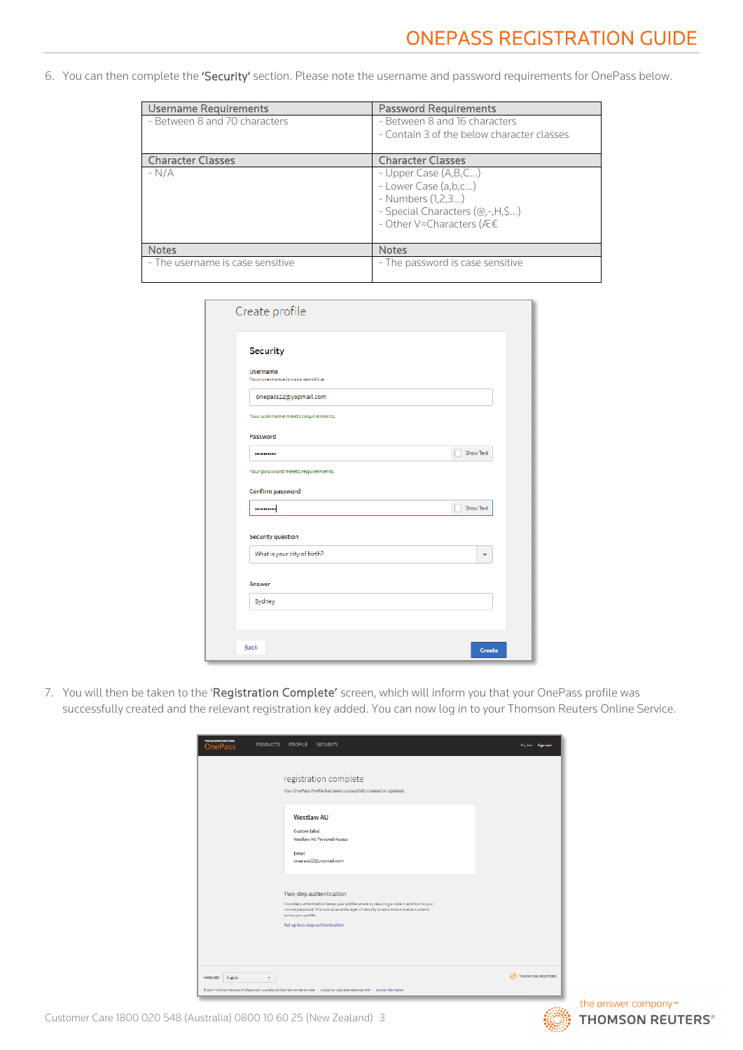6. You can then complete the 'Security' section. Please note the username and password requirements for OnePass below.

| Username Requirements            | <b>Password Requirements</b>                                                                                                     |
|----------------------------------|----------------------------------------------------------------------------------------------------------------------------------|
| - Between 8 and 70 characters    | - Between 8 and 16 characters<br>- Contain 3 of the below character classes                                                      |
|                                  |                                                                                                                                  |
| <b>Character Classes</b>         | <b>Character Classes</b>                                                                                                         |
| $-N/A$                           | - Upper Case (A,B,C)<br>- Lower Case (a,b,c)<br>- Numbers (1,2,3)<br>- Special Characters (@,-,H,\$)<br>- Other V=Characters (Æ€ |
| <b>Notes</b>                     | <b>Notes</b>                                                                                                                     |
| - The username is case sensitive | - The password is case sensitive                                                                                                 |

| Create profile                                      |               |
|-----------------------------------------------------|---------------|
| <b>Security</b>                                     |               |
| <b>Username</b><br>Your username is case sensitive. |               |
| onepass22@yopmail.com                               |               |
| Your username meets requirements.                   |               |
| Password                                            |               |
|                                                     | Show Text     |
| Your password meets requirements.                   |               |
| Confirm password                                    |               |
|                                                     | Show Text     |
| <b>Security question</b>                            |               |
| What is your city of birth?                         |               |
| Answer                                              |               |
| Sydney                                              |               |
|                                                     |               |
|                                                     |               |
| Back                                                | <b>Create</b> |

7. You will then be taken to the 'Registration Complete' screen, which will inform you that your OnePass profile was successfully created and the relevant registration key added. You can now log in to your Thomson Reuters Online Service.

| THOMSON REUTERS<br><b>PRODUCTS</b><br><b>OnePass</b> | <b>PROFILE</b><br><b>SECURITY</b>                                                                                                                                                                                                                                           | Hi, Joe Sign out |
|------------------------------------------------------|-----------------------------------------------------------------------------------------------------------------------------------------------------------------------------------------------------------------------------------------------------------------------------|------------------|
|                                                      | registration complete<br>Your OnePass Profile has been successfully created or updated.                                                                                                                                                                                     |                  |
|                                                      | <b>Westlaw AU</b><br><b>Custom label</b><br>Westlaw AU Personal Access<br>Email<br>onepass22@yopmail.com                                                                                                                                                                    |                  |
|                                                      | Two-step authentication<br>Two-step authentication keeps your profile secure by requiring a code in addition to your<br>normal password. This acts as an extra layer of security to ensure no one else is able to<br>access your profile.<br>Set up two-step authentication |                  |
| Language<br>English<br>$\overline{\phantom{a}}$      | @ 2017 Thomson Reuters (Professional) Australia Limited ABN 64 058 914 668 - Customer Help Desk 1800 020 548 - Device Information                                                                                                                                           | THOMSON REUTERS  |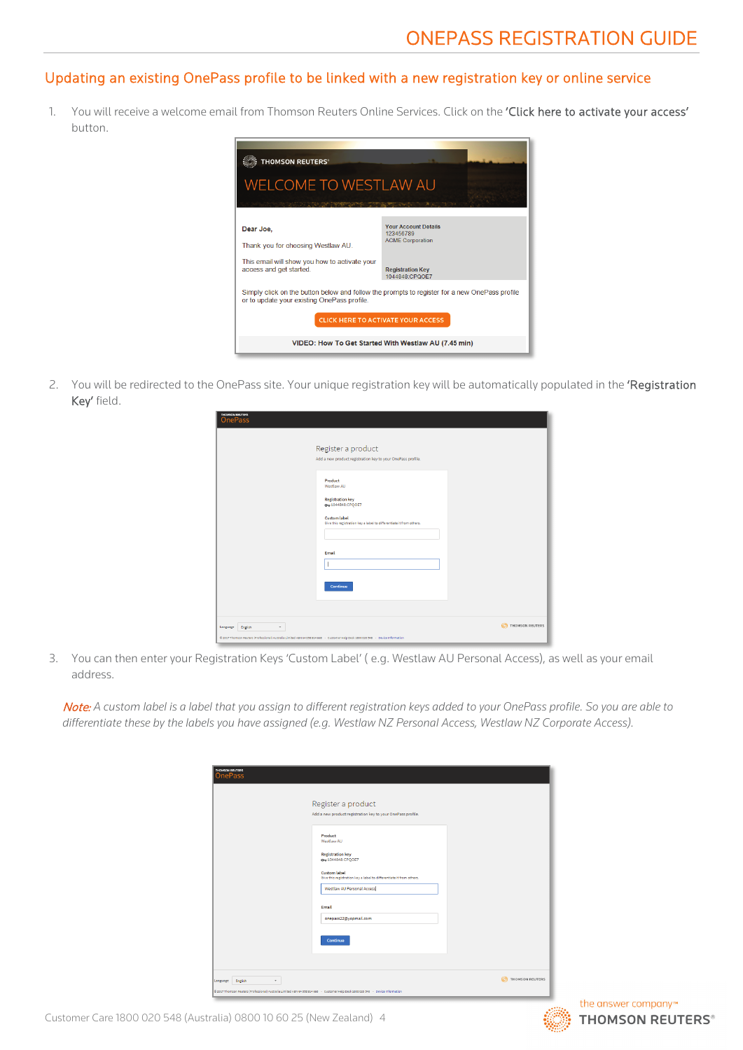#### <span id="page-3-0"></span>Updating an existing OnePass profile to be linked with a new registration key or online service

1. You will receive a welcome email from Thomson Reuters Online Services. Click on the 'Click here to activate your access' button.



2. You will be redirected to the OnePass site. Your unique registration key will be automatically populated in the 'Registration Key' field.

| THOMSON REUTERS<br><b>OnePass</b>                                                                                                 |                                                                                                                                                                    |                           |
|-----------------------------------------------------------------------------------------------------------------------------------|--------------------------------------------------------------------------------------------------------------------------------------------------------------------|---------------------------|
|                                                                                                                                   | Register a product<br>Add a new product registration key to your OnePass profile.                                                                                  |                           |
|                                                                                                                                   | Product<br>Westlaw AU<br><b>Registration key</b><br>0-1044848:CPQOE7<br><b>Custom label</b><br>Give this registration key a label to differentiate it from others. |                           |
|                                                                                                                                   | Email                                                                                                                                                              |                           |
| Language<br>English<br>$\overline{\phantom{a}}$                                                                                   | Continue                                                                                                                                                           | <b>CO</b> THOMSON REUTERS |
| 8 2017 Thomson Reuters (Professional) Australia Limited ABN 64 058 914 668 - Customer Help Desk 1800 020 548 - Device Information |                                                                                                                                                                    |                           |

3. You can then enter your Registration Keys 'Custom Label' ( e.g. Westlaw AU Personal Access), as well as your email address.

Note: *A custom label is a label that you assign to different registration keys added to your OnePass profile. So you are able to differentiate these by the labels you have assigned (e.g. Westlaw NZ Personal Access, Westlaw NZ Corporate Access).*

| <b>OnePass</b>                    |                                                                                                                                                                                                   |                 |
|-----------------------------------|---------------------------------------------------------------------------------------------------------------------------------------------------------------------------------------------------|-----------------|
|                                   | Register a product<br>Add a new product registration key to your OnePass profile.                                                                                                                 |                 |
|                                   | Product<br>Westlaw AU<br><b>Registration key</b><br>Ow 1044848:CPQOE7<br><b>Custom label</b><br>Give this registration key a label to differentiate it from others.<br>Westlaw AU Personal Access |                 |
|                                   | Email<br>onepass22@yopmail.com<br>Continue                                                                                                                                                        |                 |
| Language<br>English<br>$\check{}$ |                                                                                                                                                                                                   | THOMSON REUTERS |